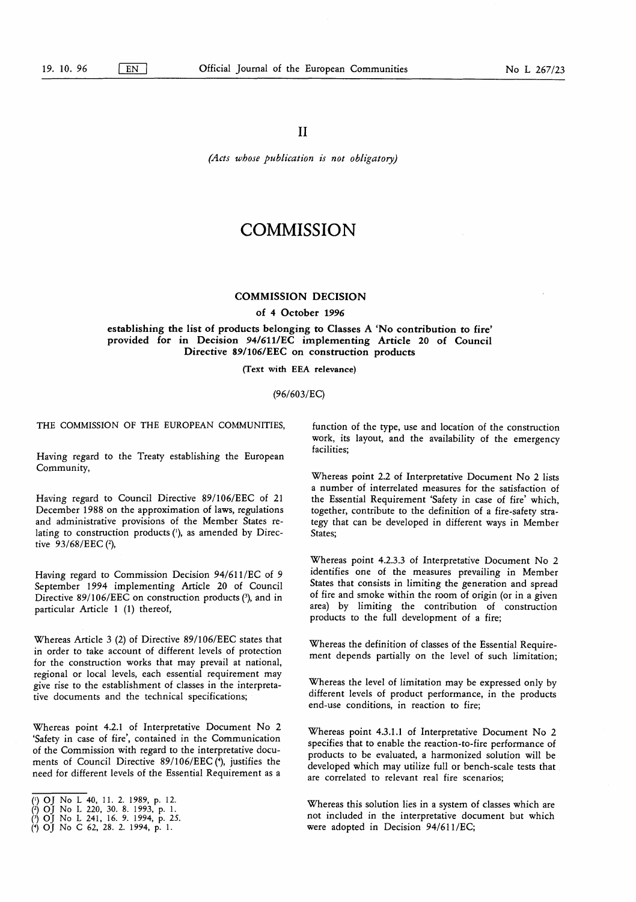(Acts whose publication is not obligatory)

# **COMMISSION**

## COMMISSION DECISION

#### of 4 October 1996

establishing the list of products belonging to Classes A 'No contribution to fire' provided for in Decision 94/611/EC implementing Article 20 of Council Directive 89/106/EEC on construction products

(Text with EEA relevance)

#### (96/603/EC)

THE COMMISSION OF THE EUROPEAN COMMUNITIES.

Having regard to the Treaty establishing the European Community,

Having regard to Council Directive 89/106/EEC of 21 December 1988 on the approximation of laws, regulations and administrative provisions of the Member States relating to construction products  $(1)$ , as amended by Directive 93/68/EEC (2),

Having regard to Commission Decision 94/611/EC of 9 September 1994 implementing Article 20 of Council Directive  $89/106/EEC$  on construction products (3), and in particular Article 1 (1) thereof,

Whereas Article 3 (2) of Directive 89/106/EEC states that in order to take account of different levels of protection for the construction works that may prevail at national, regional or local levels, each essential requirement may give rise to the establishment of classes in the interpretative documents and the technical specifications;

Whereas point 4.2.1 of Interpretative Document No 2 'Safety in case of fire', contained in the Communication of the Commission with regard to the interpretative documents of Council Directive 89/106/EEC (4), justifies the need for different levels of the Essential Requirement as a

function of the type, use and location of the construction work, its layout, and the availability of the emergency facilities;

Whereas point 2.2 of Interpretative Document No 2 lists a number of interrelated measures for the satisfaction of the Essential Requirement 'Safety in case of fire' which, together, contribute to the definition of a fire-safety strategy that can be developed in different ways in Member States;

Whereas point 4.2.3.3 of Interpretative Document No 2 identifies one of the measures prevailing in Member States that consists in limiting the generation and spread of fire and smoke within the room of origin (or in a given area) by limiting the contribution of construction products to the full development of a fire;

Whereas the definition of classes of the Essential Requirement depends partially on the level of such limitation;

Whereas the level of limitation may be expressed only by different levels of product performance, in the products end-use conditions, in reaction to fire;

Whereas point 4.3.1.1 of Interpretative Document No 2 specifies that to enable the reaction-to-fire performance of products to be evaluated, a harmonized solution will be developed which may utilize full or bench-scale tests that are correlated to relevant real fire scenarios;

Whereas this solution lies in a system of classes which are not included in the interpretative document but which were adopted in Decision 94/611/EC;

<sup>(&#</sup>x27;) OJ No L 40, <sup>11</sup> . 2. 1989, p. 12.

<sup>(2)</sup> OJ No L 220, 30. 8 . 1993, p. <sup>1</sup> . 0 OJ No <sup>L</sup> <sup>241</sup> , 16. 9. 1994, p. 25. (\*) OJ No C 62, 28. 2. 1994, p. <sup>1</sup> .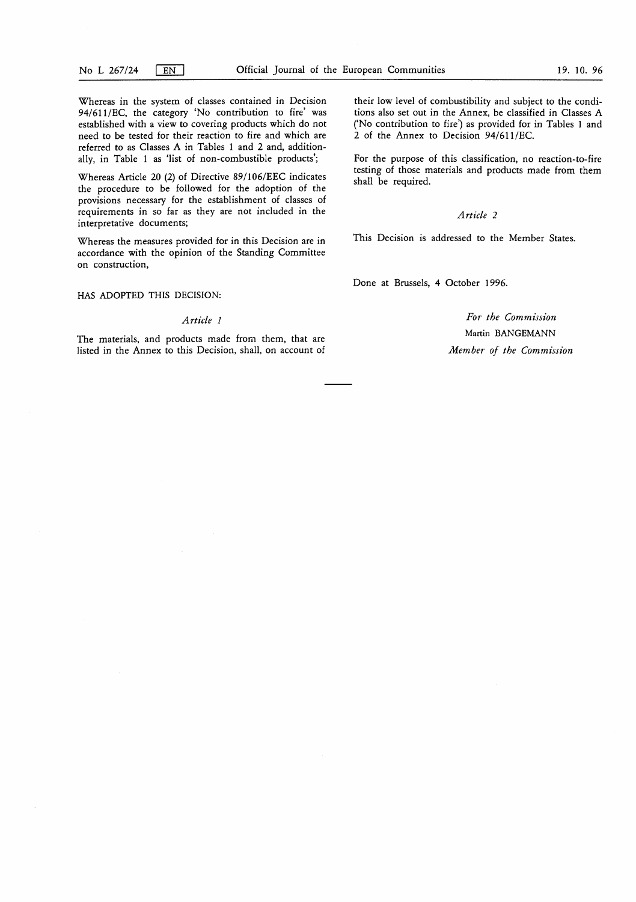Whereas in the system of classes contained in Decision 94/611/EC, the category 'No contribution to fire' was established with a view to covering products which do not need to be tested for their reaction to fire and which are referred to as Classes A in Tables <sup>1</sup> and 2 and, additionally, in Table <sup>1</sup> as 'list of non-combustible products';

Whereas Article 20 (2) of Directive 89/106/EEC indicates the procedure to be followed for the adoption of the provisions necessary for the establishment of classes of requirements in so far as they are not included in the interpretative documents;

Whereas the measures provided for in this Decision are in accordance with the opinion of the Standing Committee on construction,

#### HAS ADOPTED THIS DECISION:

#### Article <sup>1</sup>

The materials, and products made from them, that are listed in the Annex to this Decision, shall, on account of their low level of combustibility and subject to the conditions also set out in the Annex, be classified in Classes A ('No contribution to fire') as provided for in Tables <sup>1</sup> and 2 of the Annex to Decision 94/611 /EC.

For the purpose of this classification, no reaction-to-fire testing of those materials and products made from them shall be required.

## Article 2

This Decision is addressed to the Member States.

Done at Brussels, 4 October 1996.

For the Commission Martin BANGEMANN Member of the Commission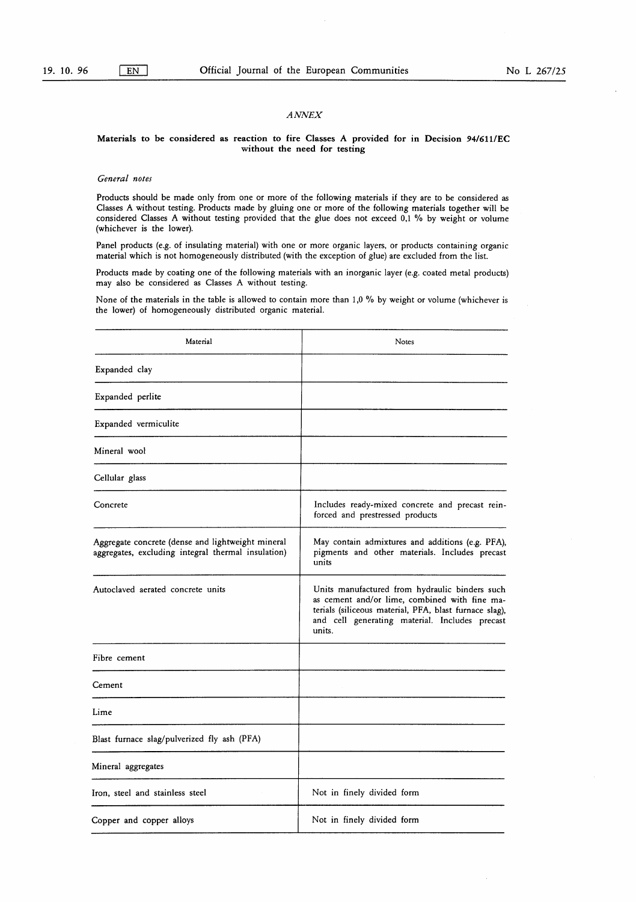## ANNEX

#### Materials to be considered as reaction to fire Classes A provided for in Decision 94/611/EC without the need for testing

## General notes

Products should be made only from one or more of the following materials if they are to be considered as Classes A without testing. Products made by gluing one or more of the following materials together will be considered Classes A without testing provided that the glue does not exceed 0,1 % by weight or volume (whichever is the lower).

Panel products (e.g. of insulating material) with one or more organic layers, or products containing organic material which is not homogeneously distributed (with the exception of glue) are excluded from the list.

Products made by coating one of the following materials with an inorganic layer (e.g. coated metal products) may also be considered as Classes A without testing.

None of the materials in the table is allowed to contain more than 1,0 % by weight or volume (whichever is the lower) of homogeneously distributed organic material.

| Material                                                                                                | Notes                                                                                                                                                                                                                 |
|---------------------------------------------------------------------------------------------------------|-----------------------------------------------------------------------------------------------------------------------------------------------------------------------------------------------------------------------|
| Expanded clay                                                                                           |                                                                                                                                                                                                                       |
| Expanded perlite                                                                                        |                                                                                                                                                                                                                       |
| Expanded vermiculite                                                                                    |                                                                                                                                                                                                                       |
| Mineral wool                                                                                            |                                                                                                                                                                                                                       |
| Cellular glass                                                                                          |                                                                                                                                                                                                                       |
| Concrete                                                                                                | Includes ready-mixed concrete and precast rein-<br>forced and prestressed products                                                                                                                                    |
| Aggregate concrete (dense and lightweight mineral<br>aggregates, excluding integral thermal insulation) | May contain admixtures and additions (e.g. PFA),<br>pigments and other materials. Includes precast<br>units                                                                                                           |
| Autoclaved aerated concrete units                                                                       | Units manufactured from hydraulic binders such<br>as cement and/or lime, combined with fine ma-<br>terials (siliceous material, PFA, blast furnace slag),<br>and cell generating material. Includes precast<br>units. |
| Fibre cement                                                                                            |                                                                                                                                                                                                                       |
| Cement                                                                                                  |                                                                                                                                                                                                                       |
| Lime                                                                                                    |                                                                                                                                                                                                                       |
| Blast furnace slag/pulverized fly ash (PFA)                                                             |                                                                                                                                                                                                                       |
| Mineral aggregates                                                                                      |                                                                                                                                                                                                                       |
| Iron, steel and stainless steel                                                                         | Not in finely divided form                                                                                                                                                                                            |
| Copper and copper alloys                                                                                | Not in finely divided form                                                                                                                                                                                            |